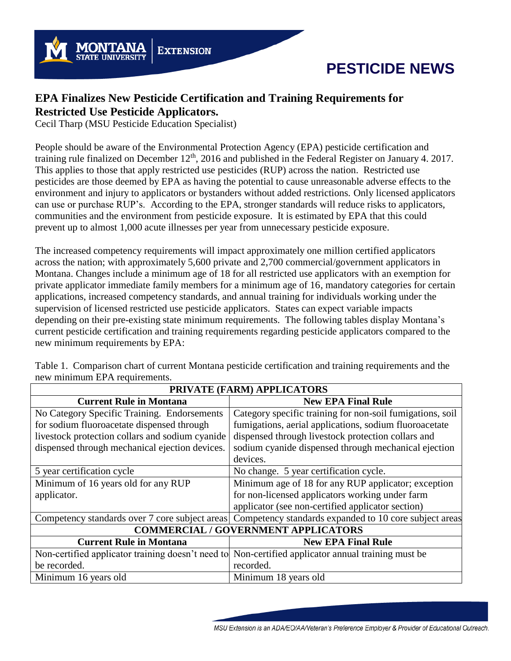

## **PESTICIDE NEWS**

## **EPA Finalizes New Pesticide Certification and Training Requirements for Restricted Use Pesticide Applicators.**

Cecil Tharp (MSU Pesticide Education Specialist)

People should be aware of the Environmental Protection Agency (EPA) pesticide certification and training rule finalized on December 12<sup>th</sup>, 2016 and published in the Federal Register on January 4. 2017. This applies to those that apply restricted use pesticides (RUP) across the nation. Restricted use pesticides are those deemed by EPA as having the potential to cause unreasonable adverse effects to the environment and injury to applicators or bystanders without added restrictions. Only licensed applicators can use or purchase RUP's. According to the EPA, stronger standards will reduce risks to applicators, communities and the environment from pesticide exposure. It is estimated by EPA that this could prevent up to almost 1,000 acute illnesses per year from unnecessary pesticide exposure.

The increased competency requirements will impact approximately one million certified applicators across the nation; with approximately 5,600 private and 2,700 commercial/government applicators in Montana. Changes include a minimum age of 18 for all restricted use applicators with an exemption for private applicator immediate family members for a minimum age of 16, mandatory categories for certain applications, increased competency standards, and annual training for individuals working under the supervision of licensed restricted use pesticide applicators. States can expect variable impacts depending on their pre-existing state minimum requirements. The following tables display Montana's current pesticide certification and training requirements regarding pesticide applicators compared to the new minimum requirements by EPA:

Table 1. Comparison chart of current Montana pesticide certification and training requirements and the new minimum EPA requirements.

| PRIVATE (FARM) APPLICATORS                      |                                                                                                    |
|-------------------------------------------------|----------------------------------------------------------------------------------------------------|
| <b>Current Rule in Montana</b>                  | <b>New EPA Final Rule</b>                                                                          |
| No Category Specific Training. Endorsements     | Category specific training for non-soil fumigations, soil                                          |
| for sodium fluoroacetate dispensed through      | fumigations, aerial applications, sodium fluoroacetate                                             |
| livestock protection collars and sodium cyanide | dispensed through livestock protection collars and                                                 |
| dispensed through mechanical ejection devices.  | sodium cyanide dispensed through mechanical ejection                                               |
|                                                 | devices.                                                                                           |
| 5 year certification cycle                      | No change. 5 year certification cycle.                                                             |
| Minimum of 16 years old for any RUP             | Minimum age of 18 for any RUP applicator; exception                                                |
| applicator.                                     | for non-licensed applicators working under farm                                                    |
|                                                 | applicator (see non-certified applicator section)                                                  |
| Competency standards over 7 core subject areas  | Competency standards expanded to 10 core subject areas                                             |
| <b>COMMERCIAL / GOVERNMENT APPLICATORS</b>      |                                                                                                    |
| <b>Current Rule in Montana</b>                  | <b>New EPA Final Rule</b>                                                                          |
|                                                 | Non-certified applicator training doesn't need to Non-certified applicator annual training must be |
| be recorded.                                    | recorded.                                                                                          |
| Minimum 16 years old                            | Minimum 18 years old                                                                               |

MSU Extension is an ADA/EO/AA/Veteran's Preference Employer & Provider of Educational Outreach.